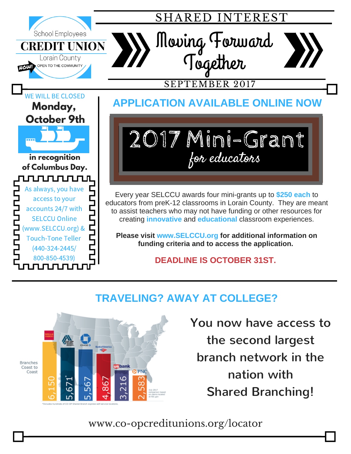

## **TRAVELING? AWAY AT COLLEGE?**



You now have access to the second largest branch network in the nation with Shared Branching!

## www.co-opcreditunions.org/locator